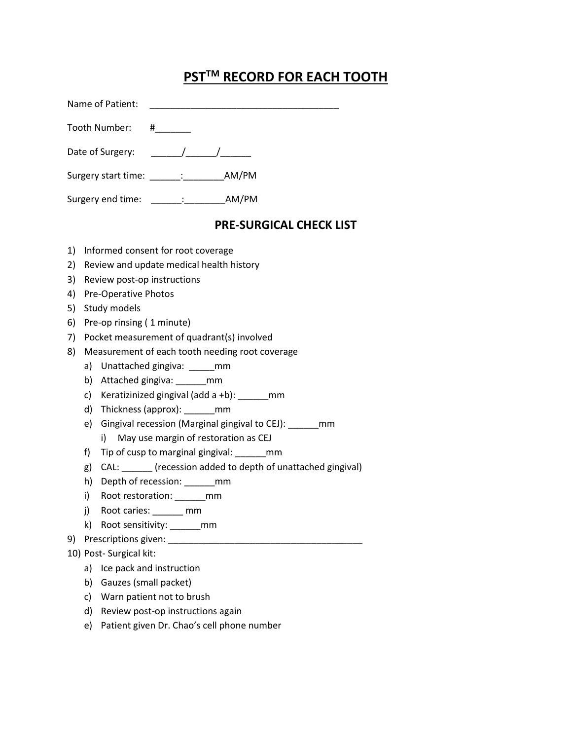# **PSTTM RECORD FOR EACH TOOTH**

| Name of Patient:            |                                            |
|-----------------------------|--------------------------------------------|
| Tooth Number:               | #                                          |
|                             | Date of Surgery: $\sqrt{2}$                |
| Surgery start time: [100] : | AM/PM                                      |
| Surgery end time:           | AM/PM<br><b>Contract Contract Contract</b> |

## **PRE-SURGICAL CHECK LIST**

- 1) Informed consent for root coverage
- 2) Review and update medical health history
- 3) Review post-op instructions
- 4) Pre-Operative Photos
- 5) Study models
- 6) Pre-op rinsing ( 1 minute)
- 7) Pocket measurement of quadrant(s) involved
- 8) Measurement of each tooth needing root coverage
	- a) Unattached gingiva: \_\_\_\_\_\_mm
	- b) Attached gingiva: \_\_\_\_\_\_mm
	- c) Keratizinized gingival (add a +b): \_\_\_\_\_\_mm
	- d) Thickness (approx): \_\_\_\_\_\_mm
	- e) Gingival recession (Marginal gingival to CEJ): \_\_\_\_\_\_mm
		- i) May use margin of restoration as CEJ
	- f) Tip of cusp to marginal gingival: mm
	- g) CAL: \_\_\_\_\_\_ (recession added to depth of unattached gingival)
	- h) Depth of recession: \_\_\_\_\_\_mm
	- i) Root restoration: \_\_\_\_\_\_\_mm
	- j) Root caries: \_\_\_\_\_\_ mm
	- k) Root sensitivity: \_\_\_\_\_\_mm
- 9) Prescriptions given: \_\_\_\_\_\_\_\_\_\_\_\_\_\_\_\_\_\_\_\_\_\_\_\_\_\_\_\_\_\_\_\_\_\_\_\_\_\_

### 10) Post- Surgical kit:

- a) Ice pack and instruction
- b) Gauzes (small packet)
- c) Warn patient not to brush
- d) Review post-op instructions again
- e) Patient given Dr. Chao's cell phone number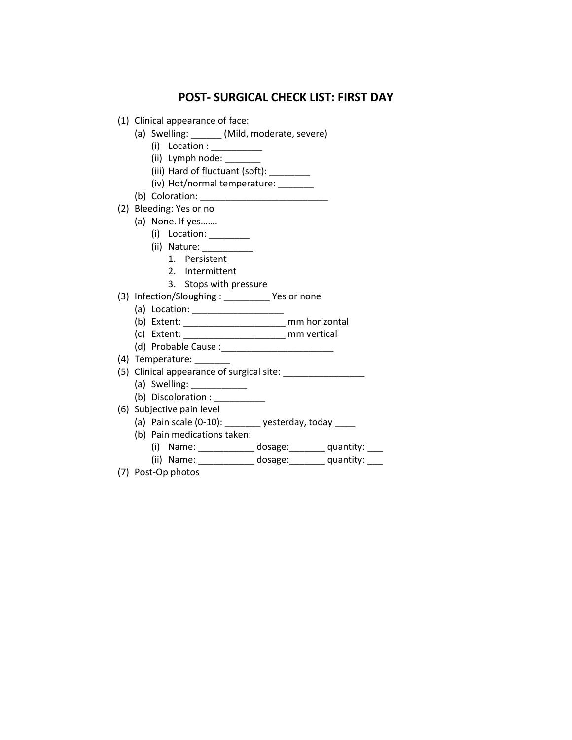### **POST- SURGICAL CHECK LIST: FIRST DAY**

- (1) Clinical appearance of face:
	- (a) Swelling: \_\_\_\_\_\_ (Mild, moderate, severe)
		- (i) Location : \_\_\_\_\_\_\_\_\_\_
		- (ii) Lymph node:
		- (iii) Hard of fluctuant (soft): \_\_\_\_\_\_\_\_
		- (iv) Hot/normal temperature: \_\_\_\_\_\_\_
	- (b) Coloration:
- (2) Bleeding: Yes or no
	- (a) None. If yes…….
		- (i) Location: \_\_\_\_\_\_\_\_
		- (ii) Nature: \_\_\_\_\_\_\_\_\_\_
			- 1. Persistent
			- 2. Intermittent
			- 3. Stops with pressure
- (3) Infection/Sloughing : \_\_\_\_\_\_\_\_\_ Yes or none
	- (a) Location: \_\_\_\_\_\_\_\_\_\_\_\_\_\_\_\_\_\_
	- (b) Extent: \_\_\_\_\_\_\_\_\_\_\_\_\_\_\_\_\_\_\_\_ mm horizontal
	- (c) Extent: \_\_\_\_\_\_\_\_\_\_\_\_\_\_\_\_\_\_\_\_ mm vertical
	- (d) Probable Cause :\_\_\_\_\_\_\_\_\_\_\_\_\_\_\_\_\_\_\_\_\_\_
- (4) Temperature:
- (5) Clinical appearance of surgical site: \_\_\_\_\_\_\_\_\_\_\_\_\_\_\_\_
	- (a) Swelling:
	- (b) Discoloration : \_\_\_\_\_\_\_\_\_\_
- (6) Subjective pain level
	- (a) Pain scale  $(0-10)$ : \_\_\_\_\_\_\_\_ yesterday, today \_\_\_\_\_
	- (b) Pain medications taken:
		- (i) Name: \_\_\_\_\_\_\_\_\_\_\_ dosage:\_\_\_\_\_\_\_ quantity: \_\_\_
		- (ii) Name: \_\_\_\_\_\_\_\_\_\_\_\_ dosage: quantity: \_\_\_
- (7) Post-Op photos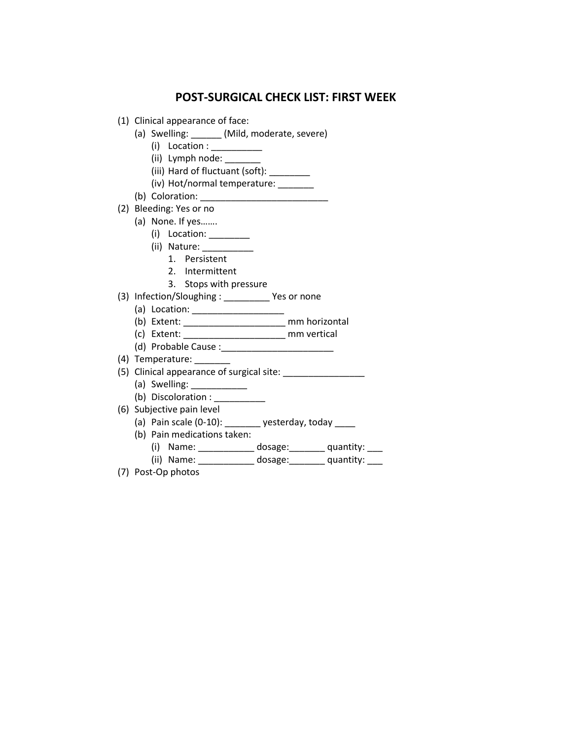### **POST-SURGICAL CHECK LIST: FIRST WEEK**

- (1) Clinical appearance of face:
	- (a) Swelling: \_\_\_\_\_\_ (Mild, moderate, severe)
		- (i) Location : \_\_\_\_\_\_\_\_\_\_
		- (ii) Lymph node:
		- (iii) Hard of fluctuant (soft): \_\_\_\_\_\_\_\_
		- (iv) Hot/normal temperature: \_\_\_\_\_\_\_
	- (b) Coloration:
- (2) Bleeding: Yes or no
	- (a) None. If yes…….
		- (i) Location: \_\_\_\_\_\_\_\_
		- (ii) Nature: \_\_\_\_\_\_\_\_\_\_
			- 1. Persistent
			- 2. Intermittent
			- 3. Stops with pressure
- (3) Infection/Sloughing : \_\_\_\_\_\_\_\_\_ Yes or none
	- (a) Location: \_\_\_\_\_\_\_\_\_\_\_\_\_\_\_\_\_\_
	- (b) Extent: \_\_\_\_\_\_\_\_\_\_\_\_\_\_\_\_\_\_\_\_ mm horizontal
	- (c) Extent: \_\_\_\_\_\_\_\_\_\_\_\_\_\_\_\_\_\_\_\_ mm vertical
	- (d) Probable Cause :\_\_\_\_\_\_\_\_\_\_\_\_\_\_\_\_\_\_\_\_\_\_
- (4) Temperature:
- (5) Clinical appearance of surgical site: \_\_\_\_\_\_\_\_\_\_\_\_\_\_\_\_
	- (a) Swelling:
	- (b) Discoloration : \_\_\_\_\_\_\_\_\_\_\_
- (6) Subjective pain level
	- (a) Pain scale  $(0-10)$ : \_\_\_\_\_\_\_\_ yesterday, today \_\_\_\_\_
	- (b) Pain medications taken:
		- (i) Name: \_\_\_\_\_\_\_\_\_\_\_ dosage:\_\_\_\_\_\_\_ quantity: \_\_\_
		- (ii) Name: \_\_\_\_\_\_\_\_\_\_\_\_ dosage: quantity: \_\_\_
- (7) Post-Op photos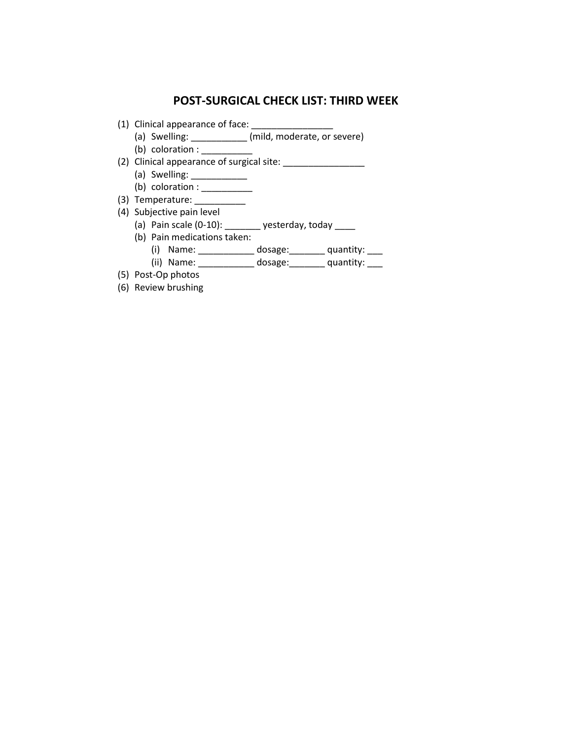## **POST-SURGICAL CHECK LIST: THIRD WEEK**

- (1) Clinical appearance of face: \_\_\_\_\_\_\_\_\_\_\_\_\_\_\_\_
	- (a) Swelling: \_\_\_\_\_\_\_\_\_\_\_ (mild, moderate, or severe)
	- (b) coloration :  $\_\_$
- (2) Clinical appearance of surgical site: \_\_\_\_\_\_\_\_\_\_\_\_\_\_\_\_
	- (a) Swelling: \_\_\_\_\_\_\_\_\_\_\_\_\_
	- (b) coloration :  $\frac{1}{2}$
- (3) Temperature: \_\_\_\_\_\_\_\_\_\_\_\_
- (4) Subjective pain level
	- (a) Pain scale  $(0-10)$ : \_\_\_\_\_\_\_\_ yesterday, today \_\_\_\_\_
	- (b) Pain medications taken:
		- (i) Name: \_\_\_\_\_\_\_\_\_\_\_\_ dosage: \_\_\_\_\_\_\_ quantity: \_\_\_\_
		- (ii) Name: \_\_\_\_\_\_\_\_\_\_\_\_ dosage: \_\_\_\_\_\_\_ quantity: \_\_\_\_
- (5) Post-Op photos
- (6) Review brushing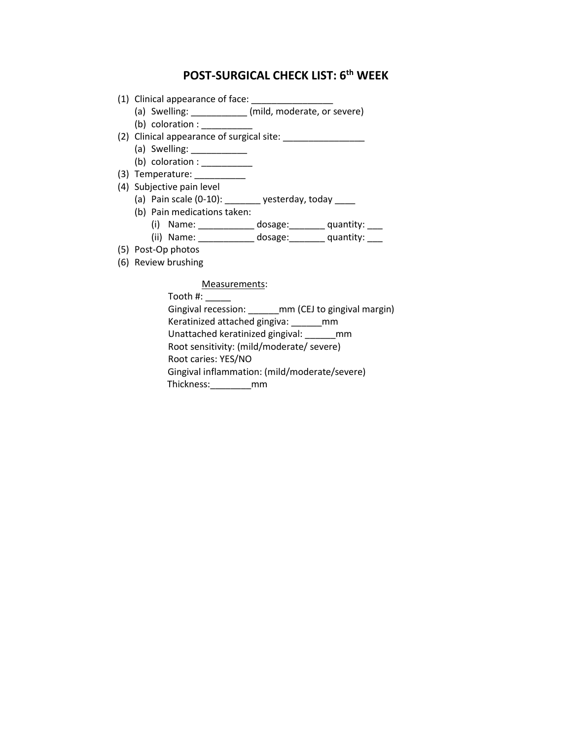# **POST-SURGICAL CHECK LIST: 6th WEEK**

- (1) Clinical appearance of face:
	- (a) Swelling: \_\_\_\_\_\_\_\_\_\_\_ (mild, moderate, or severe)
	- (b) coloration :  $\overline{\phantom{a}}$
- (2) Clinical appearance of surgical site: \_\_\_\_\_\_\_\_\_\_\_\_\_\_\_\_
	- (a) Swelling: \_\_\_\_\_\_\_\_\_\_\_
	- (b) coloration :  $\frac{1}{\sqrt{2}}$
- (3) Temperature: \_\_\_\_\_\_\_\_\_\_
- (4) Subjective pain level
	- (a) Pain scale  $(0-10)$ : \_\_\_\_\_\_\_\_ yesterday, today \_\_\_\_\_
	- (b) Pain medications taken:
		- (i) Name: \_\_\_\_\_\_\_\_\_\_\_\_\_\_ dosage: \_\_\_\_\_\_\_\_ quantity: \_\_\_\_ (ii) Name: \_\_\_\_\_\_\_\_\_\_\_ dosage: quantity: \_\_\_
		-
- (5) Post-Op photos
- (6) Review brushing

### Measurements:

Tooth #: \_\_\_\_\_ Gingival recession: \_\_\_\_\_\_\_mm (CEJ to gingival margin) Keratinized attached gingiva: \_\_\_\_\_\_mm Unattached keratinized gingival: \_\_\_\_\_\_mm Root sensitivity: (mild/moderate/ severe) Root caries: YES/NO Gingival inflammation: (mild/moderate/severe) Thickness:\_\_\_\_\_\_\_\_mm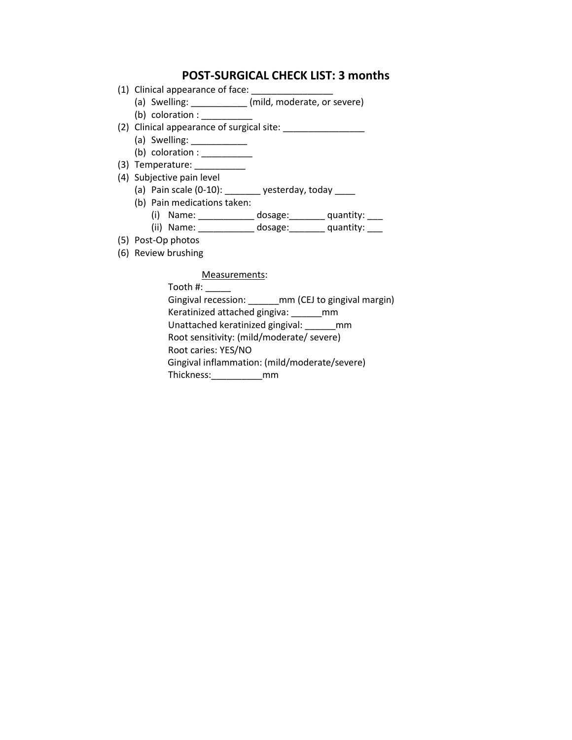### **POST-SURGICAL CHECK LIST: 3 months**

- (1) Clinical appearance of face:
	- (a) Swelling: \_\_\_\_\_\_\_\_\_\_ (mild, moderate, or severe)
	- (b) coloration :
- (2) Clinical appearance of surgical site: \_\_\_\_\_\_\_\_\_\_\_\_\_\_\_\_
	- (a) Swelling: 2000
	- (b) coloration :  $\frac{1}{2}$
- (3) Temperature: \_\_\_\_\_\_\_\_\_\_
- (4) Subjective pain level
	- (a) Pain scale  $(0-10)$ : \_\_\_\_\_\_\_\_ yesterday, today \_\_\_\_
	- (b) Pain medications taken:
		- (i) Name: \_\_\_\_\_\_\_\_\_\_\_ dosage:\_\_\_\_\_\_\_ quantity: \_\_\_
		- (ii) Name: \_\_\_\_\_\_\_\_\_\_\_\_ dosage: \_\_\_\_\_\_\_ quantity: \_\_\_\_
- (5) Post-Op photos
- (6) Review brushing

#### Measurements:

Tooth #: \_\_\_\_\_ Gingival recession: \_\_\_\_\_\_mm (CEJ to gingival margin) Keratinized attached gingiva: \_\_\_\_\_\_mm Unattached keratinized gingival: \_\_\_\_\_\_mm Root sensitivity: (mild/moderate/ severe) Root caries: YES/NO Gingival inflammation: (mild/moderate/severe) Thickness:\_\_\_\_\_\_\_\_\_\_mm